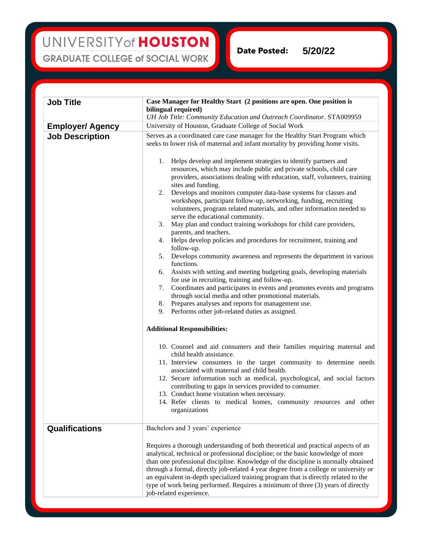## UNIVERSITY of HOUSTON **GRADUATE COLLEGE of SOCIAL WORK**

**Date Posted: 5/20/22**

| <b>Job Title</b>                                  | Case Manager for Healthy Start (2 positions are open. One position is<br>bilingual required)<br>UH Job Title: Community Education and Outreach Coordinator. STA009959                                                                                                                                                                                                                                                                                                                                                                                                                                                                                                                                                                                                                                                                                                                                                                                                                                                                                                                                                                                                                                                                                                                                                                                             |
|---------------------------------------------------|-------------------------------------------------------------------------------------------------------------------------------------------------------------------------------------------------------------------------------------------------------------------------------------------------------------------------------------------------------------------------------------------------------------------------------------------------------------------------------------------------------------------------------------------------------------------------------------------------------------------------------------------------------------------------------------------------------------------------------------------------------------------------------------------------------------------------------------------------------------------------------------------------------------------------------------------------------------------------------------------------------------------------------------------------------------------------------------------------------------------------------------------------------------------------------------------------------------------------------------------------------------------------------------------------------------------------------------------------------------------|
|                                                   | University of Houston, Graduate College of Social Work                                                                                                                                                                                                                                                                                                                                                                                                                                                                                                                                                                                                                                                                                                                                                                                                                                                                                                                                                                                                                                                                                                                                                                                                                                                                                                            |
| <b>Employer/ Agency</b><br><b>Job Description</b> | Serves as a coordinated care case manager for the Healthy Start Program which<br>seeks to lower risk of maternal and infant mortality by providing home visits.<br>1. Helps develop and implement strategies to identify partners and<br>resources, which may include public and private schools, child care<br>providers, associations dealing with education, staff, volunteers, training<br>sites and funding.<br>Develops and monitors computer data-base systems for classes and<br>2.<br>workshops, participant follow-up, networking, funding, recruiting<br>volunteers, program related materials, and other information needed to<br>serve the educational community.<br>May plan and conduct training workshops for child care providers,<br>3.<br>parents, and teachers.<br>4. Helps develop policies and procedures for recruitment, training and<br>follow-up.<br>Develops community awareness and represents the department in various<br>5.<br>functions.<br>Assists with setting and meeting budgeting goals, developing materials<br>6.<br>for use in recruiting, training and follow-up.<br>Coordinates and participates in events and promotes events and programs<br>7.<br>through social media and other promotional materials.<br>8. Prepares analyses and reports for management use.<br>9. Performs other job-related duties as assigned. |
|                                                   | <b>Additional Responsibilities:</b><br>10. Counsel and aid consumers and their families requiring maternal and<br>child health assistance.<br>11. Interview consumers in the target community to determine needs<br>associated with maternal and child health.<br>12. Secure information such as medical, psychological, and social factors<br>contributing to gaps in services provided to consumer.<br>13. Conduct home visitation when necessary.<br>14. Refer clients to medical homes, community resources and other<br>organizations                                                                                                                                                                                                                                                                                                                                                                                                                                                                                                                                                                                                                                                                                                                                                                                                                        |
| <b>Qualifications</b>                             | Bachelors and 3 years' experience<br>Requires a thorough understanding of both theoretical and practical aspects of an<br>analytical, technical or professional discipline; or the basic knowledge of more<br>than one professional discipline. Knowledge of the discipline is normally obtained<br>through a formal, directly job-related 4 year degree from a college or university or<br>an equivalent in-depth specialized training program that is directly related to the<br>type of work being performed. Requires a minimum of three (3) years of directly<br>job-related experience.                                                                                                                                                                                                                                                                                                                                                                                                                                                                                                                                                                                                                                                                                                                                                                     |